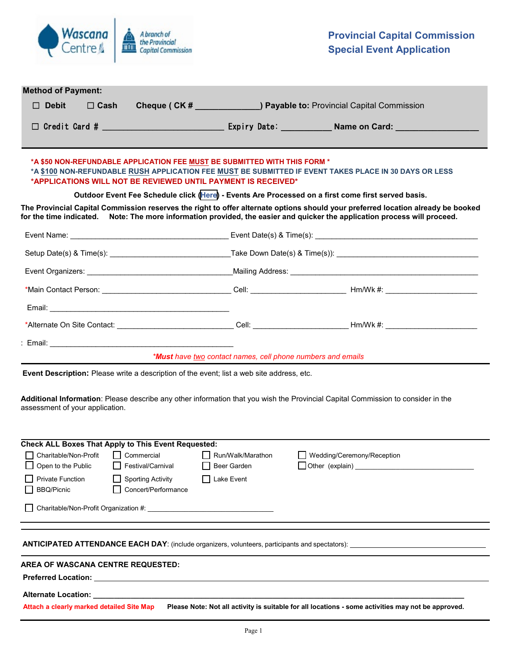

| $\Box$ Debit                                 | <b>Method of Payment:</b><br>$\Box$ Cash |                                                            |                                                                                                                                            | <b>Cheque (CK # _ _ _ _ _ _ _ _ _ ) Payable to:</b> Provincial Capital Commission                                                                                                                                                                             |  |
|----------------------------------------------|------------------------------------------|------------------------------------------------------------|--------------------------------------------------------------------------------------------------------------------------------------------|---------------------------------------------------------------------------------------------------------------------------------------------------------------------------------------------------------------------------------------------------------------|--|
|                                              |                                          |                                                            |                                                                                                                                            | □ Credit Card # _________________________________ Expiry Date: ______________Name on Card: ____________________                                                                                                                                               |  |
|                                              |                                          |                                                            | *A \$50 NON-REFUNDABLE APPLICATION FEE MUST BE SUBMITTED WITH THIS FORM *<br>*APPLICATIONS WILL NOT BE REVIEWED UNTIL PAYMENT IS RECEIVED* | *A \$100 NON-REFUNDABLE RUSH APPLICATION FEE MUST BE SUBMITTED IF EVENT TAKES PLACE IN 30 DAYS OR LESS                                                                                                                                                        |  |
|                                              |                                          |                                                            |                                                                                                                                            | Outdoor Event Fee Schedule click (Here) - Events Are Processed on a first come first served basis.                                                                                                                                                            |  |
|                                              |                                          |                                                            |                                                                                                                                            | The Provincial Capital Commission reserves the right to offer alternate options should your preferred location already be booked<br>for the time indicated. Note: The more information provided, the easier and quicker the application process will proceed. |  |
|                                              |                                          |                                                            |                                                                                                                                            |                                                                                                                                                                                                                                                               |  |
|                                              |                                          |                                                            |                                                                                                                                            |                                                                                                                                                                                                                                                               |  |
|                                              |                                          |                                                            |                                                                                                                                            |                                                                                                                                                                                                                                                               |  |
|                                              |                                          |                                                            |                                                                                                                                            |                                                                                                                                                                                                                                                               |  |
|                                              |                                          |                                                            |                                                                                                                                            |                                                                                                                                                                                                                                                               |  |
|                                              |                                          |                                                            |                                                                                                                                            |                                                                                                                                                                                                                                                               |  |
|                                              |                                          |                                                            |                                                                                                                                            |                                                                                                                                                                                                                                                               |  |
|                                              |                                          |                                                            | *Must have two contact names, cell phone numbers and emails                                                                                |                                                                                                                                                                                                                                                               |  |
|                                              |                                          |                                                            | Event Description: Please write a description of the event; list a web site address, etc.                                                  |                                                                                                                                                                                                                                                               |  |
|                                              | assessment of your application.          |                                                            |                                                                                                                                            | Additional Information: Please describe any other information that you wish the Provincial Capital Commission to consider in the                                                                                                                              |  |
|                                              |                                          | <b>Check ALL Boxes That Apply to This Event Requested:</b> |                                                                                                                                            |                                                                                                                                                                                                                                                               |  |
| Open to the Public                           | $\Box$ Charitable/Non-Profit             | $\Box$ Commercial<br>Festival/Carnival                     | Run/Walk/Marathon<br>Beer Garden                                                                                                           | Wedding/Ceremony/Reception<br>$\Box$ Other (explain)<br><u> 1980 - Andrea Barbara, poeta esperanto-</u>                                                                                                                                                       |  |
| <b>Private Function</b><br><b>BBQ/Picnic</b> |                                          | <b>Sporting Activity</b><br>Concert/Performance            | Lake Event                                                                                                                                 |                                                                                                                                                                                                                                                               |  |
|                                              |                                          |                                                            |                                                                                                                                            |                                                                                                                                                                                                                                                               |  |
|                                              |                                          |                                                            |                                                                                                                                            |                                                                                                                                                                                                                                                               |  |
|                                              |                                          | <b>AREA OF WASCANA CENTRE REQUESTED:</b>                   |                                                                                                                                            |                                                                                                                                                                                                                                                               |  |
|                                              |                                          |                                                            |                                                                                                                                            |                                                                                                                                                                                                                                                               |  |
|                                              | Alternate Location: __________           |                                                            |                                                                                                                                            |                                                                                                                                                                                                                                                               |  |
|                                              |                                          | Attach a clearly marked detailed Site Map                  |                                                                                                                                            | Please Note: Not all activity is suitable for all locations - some activities may not be approved.                                                                                                                                                            |  |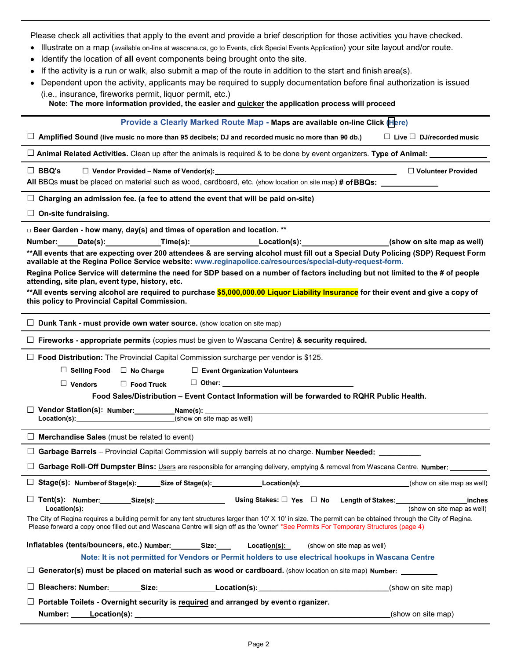Please check all activities that apply to the event and provide a brief description for those activities you have checked.

- Illustrate on a map (available on-line at wascana.ca, go to Events, click Special Events Application) your site layout and/or route.
- Identify the location of **all** event components being brought onto the site.
- If the activity is a run or walk, also submit a map of the route in addition to the start and finish area(s).
- Dependent upon the activity, applicants may be required to supply documentation before final authorization is issued (i.e., insurance, fireworks permit, liquor permit, etc.)

**Note: The more information provided, the easier and quicker the application process will proceed**

### **Provide a Clearly Marked Route Map - Maps are available on-line Click ([H](https://wascana.ca/permits-and-rentals/general-permits)ere)**

□ **Amplified Sound (live music no more than 95 decibels; DJ and recorded music no more than 90 db.)** □ **Live** □ **DJ/recorded music**

□ **Animal Related Activities.** Clean up after the animals is required & to be done by event organizers. **Type of Animal:**

□ **BBQ's** □ **Vendor Provided – Name of Vendor(s):** □ **Volunteer Provided**

**All** BBQs **must** be placed on material such as wood, cardboard, etc. (show location on site map) **# of BBQs:**

 $\square$  Charging an admission fee. (a fee to attend the event that will be paid on-site)

□ **On-site fundraising.**

**□ Beer Garden - how many, day(s) and times of operation and location. \*\***

| Number: | Date(s): | Time(s): | Location(s):                                                                                                                      | (show on site map as well) |
|---------|----------|----------|-----------------------------------------------------------------------------------------------------------------------------------|----------------------------|
|         |          |          | **All events that are expecting over 200 attendees & are serving alcohol must fill out a Special Duty Policing (SDP) Request Form |                            |
|         |          |          | available at the Regina Police Service website: www.reginapolice.ca/resources/special-duty-request-form.                          |                            |

**Regina Police Service will determine the need for SDP based on a number of factors including but not limited to the # of people attending, site plan, event type, history, etc.**

**\*\*All events serving alcohol are required to purchase \$5,000,000.00 Liquor Liability Insurance for their event and give a copy of this policy to Provincial Capital Commission.** 

□ **Dunk Tank - must provide own water source.** (show location on site map)

□ **Fireworks - appropriate permits** (copies must be given to Wascana Centre) **& security required.**

□ **Food Distribution:** The Provincial Capital Commission surcharge per vendor is \$125.

| $\Box$ Selling Food $\Box$ No Charge |  | $\Box$ Event Organization Volunteers |
|--------------------------------------|--|--------------------------------------|
|--------------------------------------|--|--------------------------------------|

□ **Vendors** □ **Food Truck** □ **Other:**

**Food Sales/Distribution – Event Contact Information will be forwarded to RQHR Public Health.**

□ **Vendor Station(s): Number:** Name(s): Location(s): <br>
Location(s): (show on s

**Location(s):** (show on site map as well)

□ **Merchandise Sales** (must be related to event)

|  | □ Garbage Barrels - Provincial Capital Commission will supply barrels at no charge. Number Needed: |  |
|--|----------------------------------------------------------------------------------------------------|--|
|--|----------------------------------------------------------------------------------------------------|--|

□ **Garbage Roll**-**Off Dumpster Bins:** Users are responsible for arranging delivery, emptying & removal from Wascana Centre. **Number:**

| □ Stage(s): Number of Stage(s):<br>Size of Stage(s):<br>∟ocation(s): | (show on site map as well) |
|----------------------------------------------------------------------|----------------------------|
|----------------------------------------------------------------------|----------------------------|

□ **Tent(s): Number: Size(s): Using Stakes:** □ **Yes** □ **No Length of Stakes: inches Location(s):** (show on site map as well) The City of Regina requires a building permit for any tent structures larger than 10' X 10' in size. The permit can be obtained through the City of Regina. Please forward a copy once filled out and Wascana Centre will sign off as the 'owner' \*See Permits For Temporary Structures (page 4)

| Inflatables (tents/bouncers, etc.) Number:                                              | Size: | Location(s): | (show on site map as well) |
|-----------------------------------------------------------------------------------------|-------|--------------|----------------------------|
| Nota: It is not normitted for Vandore or Dermit holders to use cleatrical bookung in We |       |              |                            |

# **Note: It is not permitted for Vendors or Permit holders to use electrical hookups in Wascana Centre**

□ **Generator(s) must be placed on material such as wood or cardboard.** (show location on site map) **Number:**

| $\overline{\phantom{0}}$<br>$\Box$ Bleachers: Number: | Size. | Location(s): | (show on site map) |
|-------------------------------------------------------|-------|--------------|--------------------|
|-------------------------------------------------------|-------|--------------|--------------------|

|         | $\Box$ Portable Toilets - Overnight security is required and arranged by event o rganizer. |  |
|---------|--------------------------------------------------------------------------------------------|--|
| Number: | Location(s):                                                                               |  |

(show on site map)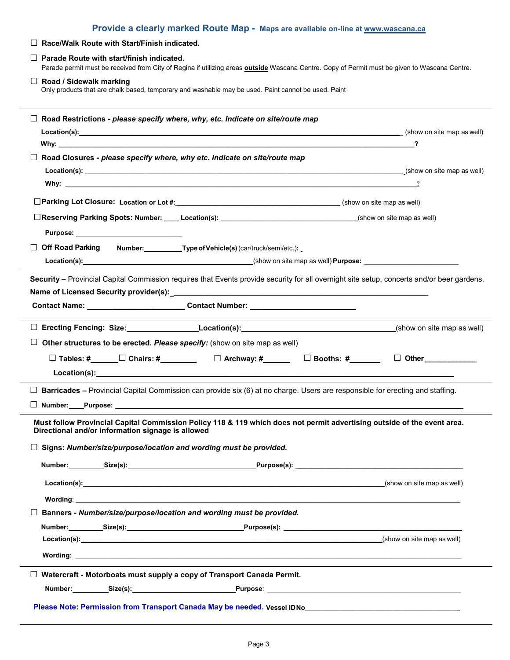| Provide a clearly marked Route Map - Maps are available on-line at www.wascana.ca                                                                                                                                                                                                                                 |                                                                                                                                                      |  |  |  |  |
|-------------------------------------------------------------------------------------------------------------------------------------------------------------------------------------------------------------------------------------------------------------------------------------------------------------------|------------------------------------------------------------------------------------------------------------------------------------------------------|--|--|--|--|
| $\Box$ Race/Walk Route with Start/Finish indicated.                                                                                                                                                                                                                                                               |                                                                                                                                                      |  |  |  |  |
| $\Box$ Parade Route with start/finish indicated.                                                                                                                                                                                                                                                                  | Parade permit must be received from City of Regina if utilizing areas <b>outside</b> Wascana Centre. Copy of Permit must be given to Wascana Centre. |  |  |  |  |
| $\Box$ Road / Sidewalk marking<br>Only products that are chalk based, temporary and washable may be used. Paint cannot be used. Paint                                                                                                                                                                             |                                                                                                                                                      |  |  |  |  |
| $\Box$ Road Restrictions - please specify where, why, etc. Indicate on site/route map                                                                                                                                                                                                                             |                                                                                                                                                      |  |  |  |  |
| Location(s): (show on site map as well) (show on site map as well) (show on site map as well)                                                                                                                                                                                                                     | ?                                                                                                                                                    |  |  |  |  |
| Why: which is a series of the contract of the contract of the contract of the contract of the contract of the contract of the contract of the contract of the contract of the contract of the contract of the contract of the<br>$\Box$ Road Closures - please specify where, why etc. Indicate on site/route map |                                                                                                                                                      |  |  |  |  |
|                                                                                                                                                                                                                                                                                                                   |                                                                                                                                                      |  |  |  |  |
|                                                                                                                                                                                                                                                                                                                   |                                                                                                                                                      |  |  |  |  |
|                                                                                                                                                                                                                                                                                                                   |                                                                                                                                                      |  |  |  |  |
|                                                                                                                                                                                                                                                                                                                   |                                                                                                                                                      |  |  |  |  |
| □Reserving Parking Spots: Number: ____ Location(s): ____________________________                                                                                                                                                                                                                                  | (show on site map as well)                                                                                                                           |  |  |  |  |
|                                                                                                                                                                                                                                                                                                                   |                                                                                                                                                      |  |  |  |  |
| □ Off Road Parking Number: ____________Type of Vehicle(s) (car/truck/semi/etc.):                                                                                                                                                                                                                                  |                                                                                                                                                      |  |  |  |  |
|                                                                                                                                                                                                                                                                                                                   |                                                                                                                                                      |  |  |  |  |
| Security - Provincial Capital Commission requires that Events provide security for all overnight site setup, concerts and/or beer gardens.                                                                                                                                                                        |                                                                                                                                                      |  |  |  |  |
| Contact Name: ___________________________Contact Number: _______________________                                                                                                                                                                                                                                  |                                                                                                                                                      |  |  |  |  |
|                                                                                                                                                                                                                                                                                                                   |                                                                                                                                                      |  |  |  |  |
|                                                                                                                                                                                                                                                                                                                   |                                                                                                                                                      |  |  |  |  |
| □ Erecting Fencing: Size: Location(s): Location(s): (show on site map as well)                                                                                                                                                                                                                                    |                                                                                                                                                      |  |  |  |  |
| $\Box$ Other structures to be erected. Please specify: (show on site map as well)                                                                                                                                                                                                                                 |                                                                                                                                                      |  |  |  |  |
|                                                                                                                                                                                                                                                                                                                   |                                                                                                                                                      |  |  |  |  |
|                                                                                                                                                                                                                                                                                                                   |                                                                                                                                                      |  |  |  |  |
| $\Box$ Barricades – Provincial Capital Commission can provide six (6) at no charge. Users are responsible for erecting and staffing.                                                                                                                                                                              |                                                                                                                                                      |  |  |  |  |
| $\Box$ Number: Purpose: $\Box$                                                                                                                                                                                                                                                                                    |                                                                                                                                                      |  |  |  |  |
| Must follow Provincial Capital Commission Policy 118 & 119 which does not permit advertising outside of the event area.<br>Directional and/or information signage is allowed                                                                                                                                      |                                                                                                                                                      |  |  |  |  |
| $\Box$ Signs: Number/size/purpose/location and wording must be provided.                                                                                                                                                                                                                                          |                                                                                                                                                      |  |  |  |  |
| Number:__________Size(s):___________________________________Purpose(s):__________                                                                                                                                                                                                                                 |                                                                                                                                                      |  |  |  |  |
|                                                                                                                                                                                                                                                                                                                   | (show on site map as well)                                                                                                                           |  |  |  |  |
| <b>Wording: with the contract of the contract of the contract of the contract of the contract of the contract of the contract of the contract of the contract of the contract of the contract of the contract of the contract of</b>                                                                              |                                                                                                                                                      |  |  |  |  |
| Banners - Number/size/purpose/location and wording must be provided.                                                                                                                                                                                                                                              |                                                                                                                                                      |  |  |  |  |
|                                                                                                                                                                                                                                                                                                                   |                                                                                                                                                      |  |  |  |  |
| <b>Location(s):</b> the contract of the contract of the contract of the contract of the contract of the contract of the contract of the contract of the contract of the contract of the contract of the contract of the contract of                                                                               | (show on site map as well)                                                                                                                           |  |  |  |  |
|                                                                                                                                                                                                                                                                                                                   |                                                                                                                                                      |  |  |  |  |
| $\Box$ Watercraft - Motorboats must supply a copy of Transport Canada Permit.                                                                                                                                                                                                                                     |                                                                                                                                                      |  |  |  |  |
|                                                                                                                                                                                                                                                                                                                   |                                                                                                                                                      |  |  |  |  |